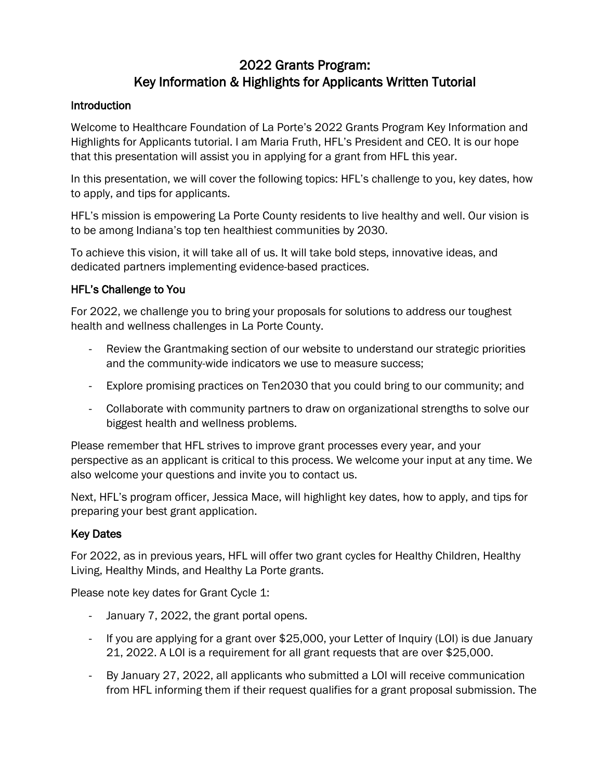# 2022 Grants Program: Key Information & Highlights for Applicants Written Tutorial

# **Introduction**

Welcome to Healthcare Foundation of La Porte's 2022 Grants Program Key Information and Highlights for Applicants tutorial. I am Maria Fruth, HFL's President and CEO. It is our hope that this presentation will assist you in applying for a grant from HFL this year.

In this presentation, we will cover the following topics: HFL's challenge to you, key dates, how to apply, and tips for applicants.

HFL's mission is empowering La Porte County residents to live healthy and well. Our vision is to be among Indiana's top ten healthiest communities by 2030.

To achieve this vision, it will take all of us. It will take bold steps, innovative ideas, and dedicated partners implementing evidence-based practices.

# HFL's Challenge to You

For 2022, we challenge you to bring your proposals for solutions to address our toughest health and wellness challenges in La Porte County.

- Review the Grantmaking section of our website to understand our strategic priorities and the community-wide indicators we use to measure success;
- Explore promising practices on Ten2030 that you could bring to our community; and
- Collaborate with community partners to draw on organizational strengths to solve our biggest health and wellness problems.

Please remember that HFL strives to improve grant processes every year, and your perspective as an applicant is critical to this process. We welcome your input at any time. We also welcome your questions and invite you to contact us.

Next, HFL's program officer, Jessica Mace, will highlight key dates, how to apply, and tips for preparing your best grant application.

# Key Dates

For 2022, as in previous years, HFL will offer two grant cycles for Healthy Children, Healthy Living, Healthy Minds, and Healthy La Porte grants.

Please note key dates for Grant Cycle 1:

- January 7, 2022, the grant portal opens.
- If you are applying for a grant over \$25,000, your Letter of Inquiry (LOI) is due January 21, 2022. A LOI is a requirement for all grant requests that are over \$25,000.
- By January 27, 2022, all applicants who submitted a LOI will receive communication from HFL informing them if their request qualifies for a grant proposal submission. The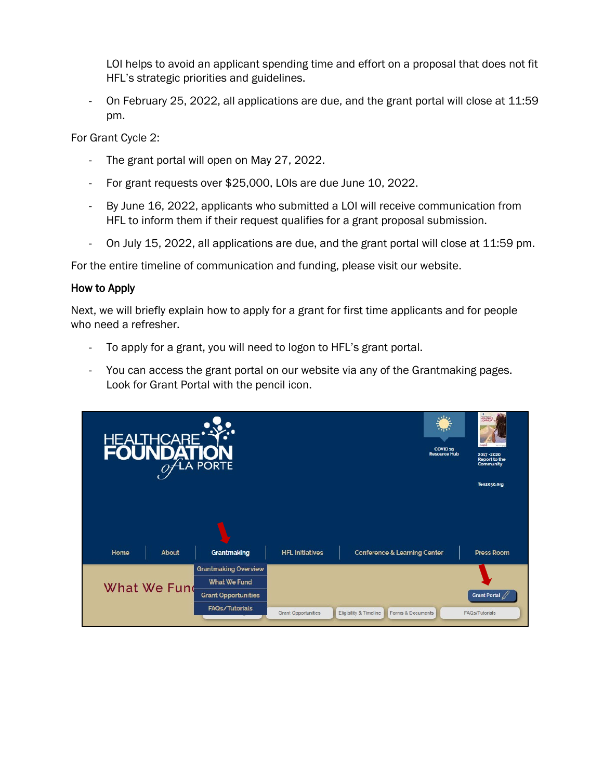LOI helps to avoid an applicant spending time and effort on a proposal that does not fit HFL's strategic priorities and guidelines.

- On February 25, 2022, all applications are due, and the grant portal will close at 11:59 pm.

For Grant Cycle 2:

- The grant portal will open on May 27, 2022.
- For grant requests over \$25,000, LOIs are due June 10, 2022.
- By June 16, 2022, applicants who submitted a LOI will receive communication from HFL to inform them if their request qualifies for a grant proposal submission.
- On July 15, 2022, all applications are due, and the grant portal will close at 11:59 pm.

For the entire timeline of communication and funding, please visit our website.

# How to Apply

Next, we will briefly explain how to apply for a grant for first time applicants and for people who need a refresher.

- To apply for a grant, you will need to logon to HFL's grant portal.
- You can access the grant portal on our website via any of the Grantmaking pages. Look for Grant Portal with the pencil icon.

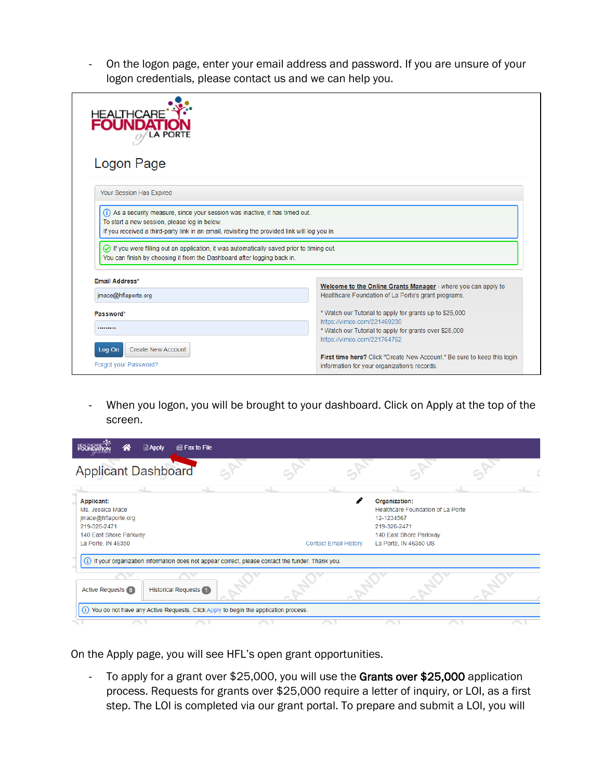- On the logon page, enter your email address and password. If you are unsure of your logon credentials, please contact us and we can help you.

| HEALTHCARE <sup>1</sup><br>Logon Page                                                                                                                                                                                                                                                                                                                                                                                                    |                                                                                                                                                                                                                                                            |  |  |  |  |
|------------------------------------------------------------------------------------------------------------------------------------------------------------------------------------------------------------------------------------------------------------------------------------------------------------------------------------------------------------------------------------------------------------------------------------------|------------------------------------------------------------------------------------------------------------------------------------------------------------------------------------------------------------------------------------------------------------|--|--|--|--|
| Your Session Has Expired<br>(i) As a security measure, since your session was inactive, it has timed out.<br>To start a new session, please log in below.<br>If you received a third-party link in an email, revisiting the provided link will log you in.<br>$\odot$ If you were filling out an application, it was automatically saved prior to timing out.<br>You can finish by choosing it from the Dashboard after logging back in. |                                                                                                                                                                                                                                                            |  |  |  |  |
| Email Address*<br>Welcome to the Online Grants Manager - where you can apply to<br>Healthcare Foundation of La Porte's grant programs.<br>jmace@hflaporte.org                                                                                                                                                                                                                                                                            |                                                                                                                                                                                                                                                            |  |  |  |  |
| Password*<br><br><b>Create New Account</b><br>Log On<br>Forgot your Password?                                                                                                                                                                                                                                                                                                                                                            | * Watch our Tutorial to apply for grants up to \$25,000<br>https://vimeo.com/221469230<br>* Watch our Tutorial to apply for grants over \$25,000<br>https://vimeo.com/221764762<br>First time here? Click "Create New Account." Be sure to keep this login |  |  |  |  |

- When you logon, you will be brought to your dashboard. Click on Apply at the top of the screen.

| <b>■ Apply</b><br>la Fax to File<br>m                                                                                        |                              |                                                                                                                                     |  |
|------------------------------------------------------------------------------------------------------------------------------|------------------------------|-------------------------------------------------------------------------------------------------------------------------------------|--|
| <b>Applicant Dashboard</b>                                                                                                   |                              |                                                                                                                                     |  |
|                                                                                                                              |                              |                                                                                                                                     |  |
| <b>Applicant:</b><br>Ms. Jessica Mace<br>jmace@hflaporte.org<br>219-326-2471<br>140 East Shore Parkway<br>La Porte, IN 46350 | <b>Contact Email History</b> | Organization:<br>Healthcare Foundation of La Porte<br>12-1234567<br>219-326-2471<br>140 East Shore Parkway<br>La Porte, IN 46350 US |  |
| (i) If your organization information does not appear correct, please contact the funder. Thank you.                          |                              |                                                                                                                                     |  |
| <b>Historical Requests</b> 1<br><b>Active Requests (0)</b>                                                                   |                              |                                                                                                                                     |  |
| You do not have any Active Requests. Click Apply to begin the application process.                                           |                              |                                                                                                                                     |  |
|                                                                                                                              |                              |                                                                                                                                     |  |

On the Apply page, you will see HFL's open grant opportunities.

- To apply for a grant over \$25,000, you will use the Grants over \$25,000 application process. Requests for grants over \$25,000 require a letter of inquiry, or LOI, as a first step. The LOI is completed via our grant portal. To prepare and submit a LOI, you will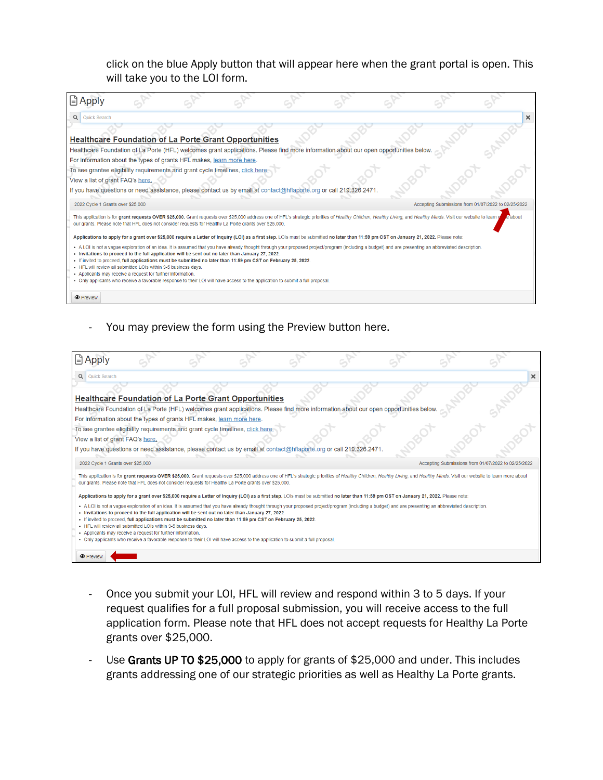click on the blue Apply button that will appear here when the grant portal is open. This will take you to the LOI form.

| ∣≞ Apply                                                                                                                      |                                                                                                                                |  |                                                                                                                                                                                                                   |  |                                                     |
|-------------------------------------------------------------------------------------------------------------------------------|--------------------------------------------------------------------------------------------------------------------------------|--|-------------------------------------------------------------------------------------------------------------------------------------------------------------------------------------------------------------------|--|-----------------------------------------------------|
| Q Quick Search                                                                                                                |                                                                                                                                |  |                                                                                                                                                                                                                   |  | ×                                                   |
|                                                                                                                               | <b>Healthcare Foundation of La Porte Grant Opportunities</b>                                                                   |  |                                                                                                                                                                                                                   |  |                                                     |
|                                                                                                                               | For information about the types of grants HFL makes, learn more here.                                                          |  | Healthcare Foundation of La Porte (HFL) welcomes grant applications. Please find more information about our open opportunities below                                                                              |  |                                                     |
|                                                                                                                               | To see grantee eligibility requirements and grant cycle timelines, click here.                                                 |  |                                                                                                                                                                                                                   |  |                                                     |
| View a list of grant FAQ's here.                                                                                              |                                                                                                                                |  |                                                                                                                                                                                                                   |  |                                                     |
|                                                                                                                               |                                                                                                                                |  | If you have questions or need assistance, please contact us by email at contact@hflaporte.org or call 219.326.2471.                                                                                               |  |                                                     |
| 2022 Cycle 1 Grants over \$25,000                                                                                             |                                                                                                                                |  |                                                                                                                                                                                                                   |  | Accepting Submissions from 01/07/2022 to 02/25/2022 |
|                                                                                                                               | our grants. Please note that HFL does not consider requests for Healthy La Porte grants over \$25,000.                         |  | This application is for grant requests OVER \$25,000. Grant requests over \$25,000 address one of HFL's strategic priorities of Healthy Children, Healthy Living, and Healthy Minds. Visit our website to learn p |  |                                                     |
|                                                                                                                               |                                                                                                                                |  | Applications to apply for a grant over \$25,000 require a Letter of Inquiry (LOI) as a first step. LOIs must be submitted no later than 11:59 pm CST on January 21, 2022. Please note:                            |  |                                                     |
|                                                                                                                               | . Invitations to proceed to the full application will be sent out no later than January 27, 2022.                              |  | . A LOI is not a vague exploration of an idea. It is assumed that you have already thought through your proposed project/program (including a budget) and are presenting an abbreviated description.              |  |                                                     |
|                                                                                                                               | . If invited to proceed, full applications must be submitted no later than 11:59 pm CST on February 25, 2022.                  |  |                                                                                                                                                                                                                   |  |                                                     |
| . HFL will review all submitted LOIs within 3-5 business days.<br>• Applicants may receive a request for further information. |                                                                                                                                |  |                                                                                                                                                                                                                   |  |                                                     |
|                                                                                                                               | . Only applicants who receive a favorable response to their LOI will have access to the application to submit a full proposal. |  |                                                                                                                                                                                                                   |  |                                                     |
|                                                                                                                               |                                                                                                                                |  |                                                                                                                                                                                                                   |  |                                                     |

- You may preview the form using the Preview button here.

| l≡ੀ Appl∖                                                                      |                                                                                                                               |                                                                                                                                                                                                                    |                                                                                                                                |                                                                                                                                                                                        |                                                                                                                                                                                                                            |                                                     |
|--------------------------------------------------------------------------------|-------------------------------------------------------------------------------------------------------------------------------|--------------------------------------------------------------------------------------------------------------------------------------------------------------------------------------------------------------------|--------------------------------------------------------------------------------------------------------------------------------|----------------------------------------------------------------------------------------------------------------------------------------------------------------------------------------|----------------------------------------------------------------------------------------------------------------------------------------------------------------------------------------------------------------------------|-----------------------------------------------------|
| Quick Search<br>Q                                                              |                                                                                                                               |                                                                                                                                                                                                                    |                                                                                                                                |                                                                                                                                                                                        |                                                                                                                                                                                                                            | ×                                                   |
| <b>Healthcare Foundation of La Porte Grant Opportunities</b>                   |                                                                                                                               |                                                                                                                                                                                                                    |                                                                                                                                |                                                                                                                                                                                        |                                                                                                                                                                                                                            |                                                     |
|                                                                                |                                                                                                                               |                                                                                                                                                                                                                    |                                                                                                                                | Healthcare Foundation of La Porte (HFL) welcomes grant applications. Please find more information about our open opportunities belov                                                   |                                                                                                                                                                                                                            |                                                     |
| For information about the types of grants HFL makes, learn more here.          |                                                                                                                               |                                                                                                                                                                                                                    |                                                                                                                                |                                                                                                                                                                                        |                                                                                                                                                                                                                            |                                                     |
| To see grantee eligibility requirements and grant cycle timelines, click here. |                                                                                                                               |                                                                                                                                                                                                                    |                                                                                                                                |                                                                                                                                                                                        |                                                                                                                                                                                                                            |                                                     |
| View a list of grant FAQ's here.                                               |                                                                                                                               |                                                                                                                                                                                                                    |                                                                                                                                |                                                                                                                                                                                        |                                                                                                                                                                                                                            |                                                     |
|                                                                                |                                                                                                                               |                                                                                                                                                                                                                    |                                                                                                                                | If you have questions or need assistance, please contact us by email at contact@hflaporte.org or call 219.326.2471.                                                                    |                                                                                                                                                                                                                            |                                                     |
| 2022 Cycle 1 Grants over \$25,000                                              |                                                                                                                               |                                                                                                                                                                                                                    |                                                                                                                                |                                                                                                                                                                                        |                                                                                                                                                                                                                            | Accepting Submissions from 01/07/2022 to 02/25/2022 |
|                                                                                |                                                                                                                               | our grants. Please note that HFL does not consider requests for Healthy La Porte grants over \$25,000.                                                                                                             |                                                                                                                                |                                                                                                                                                                                        | This application is for grant requests OVER \$25,000. Grant requests over \$25,000 address one of HFL's strategic priorities of Healthy Children, Healthy Living, and Healthy Minds. Visit our website to learn more about |                                                     |
|                                                                                |                                                                                                                               |                                                                                                                                                                                                                    |                                                                                                                                | Applications to apply for a grant over \$25,000 require a Letter of Inquiry (LOI) as a first step. LOIs must be submitted no later than 11:59 pm CST on January 21, 2022. Please note: |                                                                                                                                                                                                                            |                                                     |
|                                                                                | . HFL will review all submitted LOIs within 3-5 business days.<br>• Applicants may receive a request for further information. | . Invitations to proceed to the full application will be sent out no later than January 27, 2022.<br>- If invited to proceed, full applications must be submitted no later than 11:59 pm CST on February 25, 2022. | . Only applicants who receive a favorable response to their LOI will have access to the application to submit a full proposal. |                                                                                                                                                                                        | . A LOI is not a vague exploration of an idea. It is assumed that you have already thought through your proposed project/program (including a budget) and are presenting an abbreviated description.                       |                                                     |
| <b>O</b> Preview                                                               |                                                                                                                               |                                                                                                                                                                                                                    |                                                                                                                                |                                                                                                                                                                                        |                                                                                                                                                                                                                            |                                                     |

- Once you submit your LOI, HFL will review and respond within 3 to 5 days. If your request qualifies for a full proposal submission, you will receive access to the full application form. Please note that HFL does not accept requests for Healthy La Porte grants over \$25,000.
- Use Grants UP TO \$25,000 to apply for grants of \$25,000 and under. This includes grants addressing one of our strategic priorities as well as Healthy La Porte grants.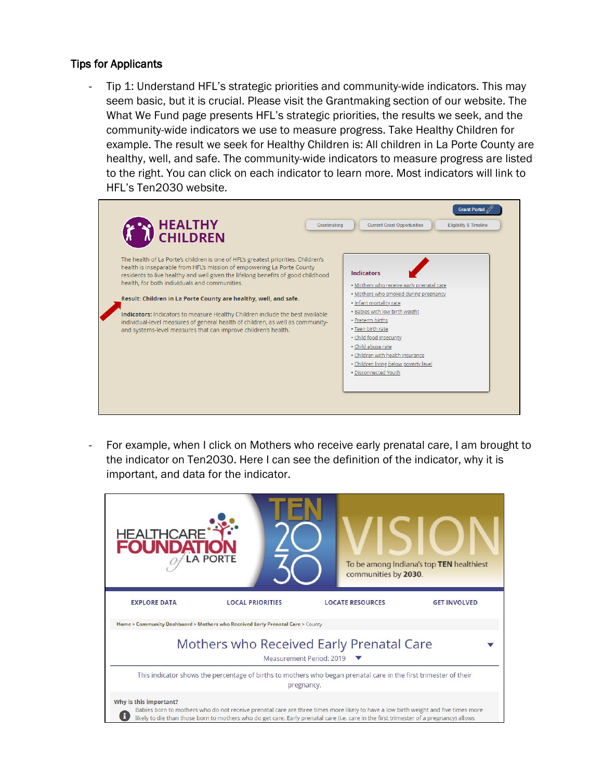#### Tips for Applicants

Tip 1: Understand HFL's strategic priorities and community-wide indicators. This may seem basic, but it is crucial. Please visit the Grantmaking section of our website. The What We Fund page presents HFL's strategic priorities, the results we seek, and the community-wide indicators we use to measure progress. Take Healthy Children for example. The result we seek for Healthy Children is: All children in La Porte County are healthy, well, and safe. The community-wide indicators to measure progress are listed to the right. You can click on each indicator to learn more. Most indicators will link to HFL's Ten2030 website.

| HEALTHY<br>CHILDREN<br>Grantmaking                                                                                                                                                                                                                                                                                                                                                                                                                                                                                                                                                                        | <b>Grant Portal</b><br><b>Current Grant Opportunities</b><br><b>Eligibility &amp; Timeline</b>                                                                                                                                                                                                                                                               |
|-----------------------------------------------------------------------------------------------------------------------------------------------------------------------------------------------------------------------------------------------------------------------------------------------------------------------------------------------------------------------------------------------------------------------------------------------------------------------------------------------------------------------------------------------------------------------------------------------------------|--------------------------------------------------------------------------------------------------------------------------------------------------------------------------------------------------------------------------------------------------------------------------------------------------------------------------------------------------------------|
| The health of La Porte's children is one of HFL's greatest priorities. Children's<br>health is inseparable from HFL's mission of empowering La Porte County<br>residents to live healthy and well given the lifelong benefits of good childhood<br>health, for both individuals and communities.<br>Result: Children in La Porte County are healthy, well, and safe.<br>Indicators: Indicators to measure Healthy Children include the best available<br>individual-level measures of general health of children, as well as community-<br>and systems-level measures that can improve children's health. | Indicators<br>. Mothers who receive early prenatal care<br>. Mothers who smoked during pregnancy<br>· Infant mortality rate<br>· Babies with low birth weight<br>· Preterm births<br>• Teen birth rate<br>. Child food insecurity<br>· Child abuse rate<br>· Children with health insurance<br>. Children living below poverty level<br>· Disconnected Youth |

For example, when I click on Mothers who receive early prenatal care, I am brought to the indicator on Ten2030. Here I can see the definition of the indicator, why it is important, and data for the indicator.

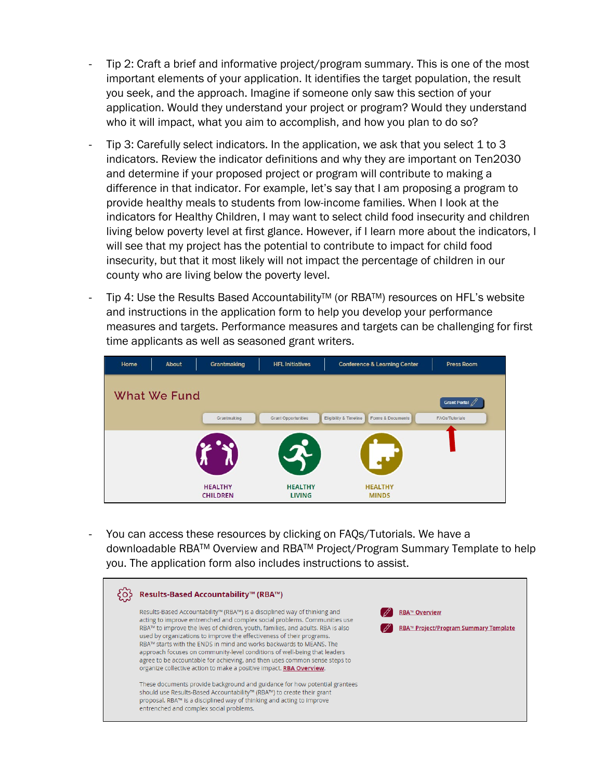- Tip 2: Craft a brief and informative project/program summary. This is one of the most important elements of your application. It identifies the target population, the result you seek, and the approach. Imagine if someone only saw this section of your application. Would they understand your project or program? Would they understand who it will impact, what you aim to accomplish, and how you plan to do so?
- Tip 3: Carefully select indicators. In the application, we ask that you select 1 to 3 indicators. Review the indicator definitions and why they are important on Ten2030 and determine if your proposed project or program will contribute to making a difference in that indicator. For example, let's say that I am proposing a program to provide healthy meals to students from low-income families. When I look at the indicators for Healthy Children, I may want to select child food insecurity and children living below poverty level at first glance. However, if I learn more about the indicators, I will see that my project has the potential to contribute to impact for child food insecurity, but that it most likely will not impact the percentage of children in our county who are living below the poverty level.
- Tip 4: Use the Results Based Accountability™ (or RBA™) resources on HFL's website and instructions in the application form to help you develop your performance measures and targets. Performance measures and targets can be challenging for first time applicants as well as seasoned grant writers.

| Home | About               | Grantmaking                       | <b>HFL Initiatives</b>          | <b>Conference &amp; Learning Center</b>     | <b>Press Room</b>         |
|------|---------------------|-----------------------------------|---------------------------------|---------------------------------------------|---------------------------|
|      | <b>What We Fund</b> |                                   |                                 |                                             | Grant Portal $\mathbb{Z}$ |
|      |                     | Grantmaking                       | <b>Grant Opportunities</b>      | Eligibility & Timeline<br>Forms & Documents | FAQs/Tutorials            |
|      |                     | <b>HEALTHY</b><br><b>CHILDREN</b> | <b>HEALTHY</b><br><b>LIVING</b> | <b>HEALTHY</b><br><b>MINDS</b>              |                           |

You can access these resources by clicking on FAQs/Tutorials. We have a downloadable RBATM Overview and RBATM Project/Program Summary Template to help you. The application form also includes instructions to assist.

| Results-Based Accountability™ (RBA™)                                                                                                                                                                                                                                                                                                                                                                                                                                                                                                                                                                                                                                                                                                                                                                                                                                                                   |                                                               |
|--------------------------------------------------------------------------------------------------------------------------------------------------------------------------------------------------------------------------------------------------------------------------------------------------------------------------------------------------------------------------------------------------------------------------------------------------------------------------------------------------------------------------------------------------------------------------------------------------------------------------------------------------------------------------------------------------------------------------------------------------------------------------------------------------------------------------------------------------------------------------------------------------------|---------------------------------------------------------------|
| Results-Based Accountability™ (RBA™) is a disciplined way of thinking and<br>acting to improve entrenched and complex social problems. Communities use<br>RBA™ to improve the lives of children, youth, families, and adults. RBA is also<br>used by organizations to improve the effectiveness of their programs.<br>RBA™ starts with the ENDS in mind and works backwards to MEANS. The<br>approach focuses on community-level conditions of well-being that leaders<br>agree to be accountable for achieving, and then uses common sense steps to<br>organize collective action to make a positive impact. RBA Overview.<br>These documents provide background and guidance for how potential grantees<br>should use Results-Based Accountability™ (RBA™) to create their grant<br>proposal. RBA™ is a disciplined way of thinking and acting to improve<br>entrenched and complex social problems. | <b>RBA™ Overview</b><br>RBA™ Project/Program Summary Template |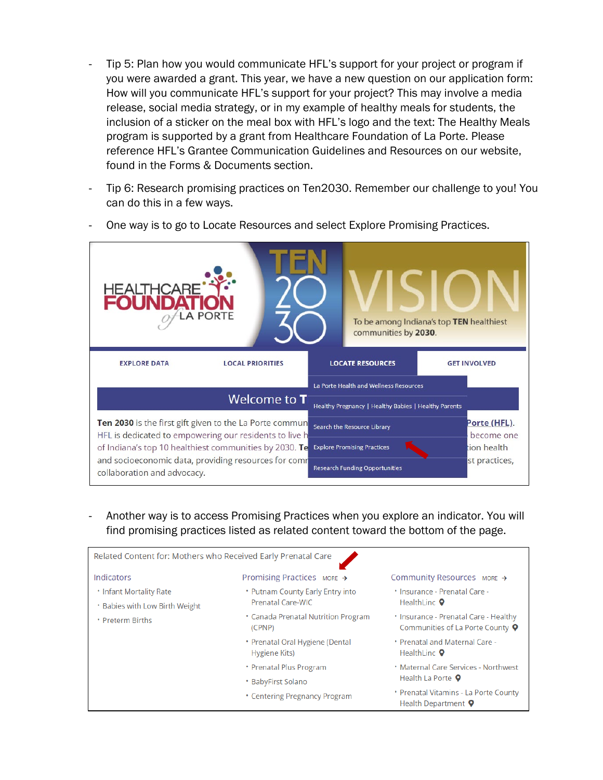- Tip 5: Plan how you would communicate HFL's support for your project or program if you were awarded a grant. This year, we have a new question on our application form: How will you communicate HFL's support for your project? This may involve a media release, social media strategy, or in my example of healthy meals for students, the inclusion of a sticker on the meal box with HFL's logo and the text: The Healthy Meals program is supported by a grant from Healthcare Foundation of La Porte. Please reference HFL's Grantee Communication Guidelines and Resources on our website, found in the Forms & Documents section.
- Tip 6: Research promising practices on Ten2030. Remember our challenge to you! You can do this in a few ways.



One way is to go to Locate Resources and select Explore Promising Practices.

- Another way is to access Promising Practices when you explore an indicator. You will find promising practices listed as related content toward the bottom of the page.

| Related Content for: Mothers who Received Early Prenatal Care |                                                  |                                                                                                                                   |  |  |  |
|---------------------------------------------------------------|--------------------------------------------------|-----------------------------------------------------------------------------------------------------------------------------------|--|--|--|
| Indicators                                                    | Promising Practices MORE $\rightarrow$           | Community Resources MORE $\rightarrow$                                                                                            |  |  |  |
| <b>• Infant Mortality Rate</b>                                | • Putnam County Early Entry into                 | * Insurance - Prenatal Care -<br>HealthLinc <b>Q</b><br>* Insurance - Prenatal Care - Healthy<br>Communities of La Porte County 9 |  |  |  |
| * Babies with Low Birth Weight                                | Prenatal Care-WIC                                |                                                                                                                                   |  |  |  |
| • Preterm Births                                              | • Canada Prenatal Nutrition Program<br>(CPNP)    |                                                                                                                                   |  |  |  |
|                                                               | * Prenatal Oral Hygiene (Dental<br>Hygiene Kits) | . Prenatal and Maternal Care -<br>HealthLinc <sup>O</sup>                                                                         |  |  |  |
|                                                               | • Prenatal Plus Program                          | <b>• Maternal Care Services - Northwest</b>                                                                                       |  |  |  |
|                                                               | * BabyFirst Solano                               | Health La Porte 9                                                                                                                 |  |  |  |
|                                                               | • Centering Pregnancy Program                    | • Prenatal Vitamins - La Porte County<br>Health Department 9                                                                      |  |  |  |